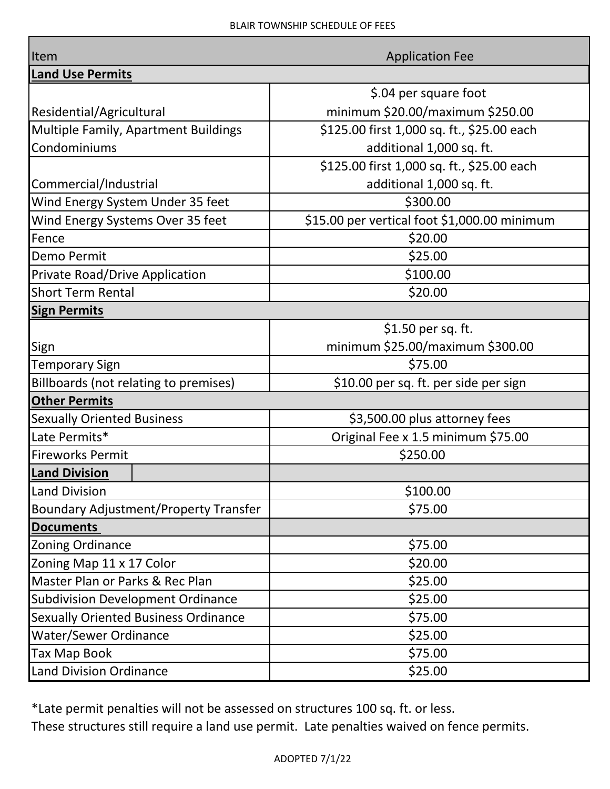| Item                                         | <b>Application Fee</b>                       |
|----------------------------------------------|----------------------------------------------|
| <b>Land Use Permits</b>                      |                                              |
|                                              | \$.04 per square foot                        |
| Residential/Agricultural                     | minimum \$20.00/maximum \$250.00             |
| <b>Multiple Family, Apartment Buildings</b>  | \$125.00 first 1,000 sq. ft., \$25.00 each   |
| Condominiums                                 | additional 1,000 sq. ft.                     |
|                                              | \$125.00 first 1,000 sq. ft., \$25.00 each   |
| Commercial/Industrial                        | additional 1,000 sq. ft.                     |
| Wind Energy System Under 35 feet             | \$300.00                                     |
| Wind Energy Systems Over 35 feet             | \$15.00 per vertical foot \$1,000.00 minimum |
| Fence                                        | \$20.00                                      |
| <b>Demo Permit</b>                           | \$25.00                                      |
| <b>Private Road/Drive Application</b>        | \$100.00                                     |
| <b>Short Term Rental</b>                     | \$20.00                                      |
| <b>Sign Permits</b>                          |                                              |
|                                              | \$1.50 per sq. ft.                           |
| Sign                                         | minimum \$25.00/maximum \$300.00             |
| <b>Temporary Sign</b>                        | \$75.00                                      |
| Billboards (not relating to premises)        | \$10.00 per sq. ft. per side per sign        |
| <b>Other Permits</b>                         |                                              |
| <b>Sexually Oriented Business</b>            | \$3,500.00 plus attorney fees                |
| Late Permits*                                | Original Fee x 1.5 minimum \$75.00           |
| <b>Fireworks Permit</b>                      | \$250.00                                     |
| <b>Land Division</b>                         |                                              |
| <b>Land Division</b>                         | \$100.00                                     |
| <b>Boundary Adjustment/Property Transfer</b> | \$75.00                                      |
| <b>Documents</b>                             |                                              |
| <b>Zoning Ordinance</b>                      | \$75.00                                      |
| Zoning Map 11 x 17 Color                     | \$20.00                                      |
| Master Plan or Parks & Rec Plan              | \$25.00                                      |
| <b>Subdivision Development Ordinance</b>     | \$25.00                                      |
| <b>Sexually Oriented Business Ordinance</b>  | \$75.00                                      |
| <b>Water/Sewer Ordinance</b>                 | \$25.00                                      |
| <b>Tax Map Book</b>                          | \$75.00                                      |
| <b>Land Division Ordinance</b>               | \$25.00                                      |

\*Late permit penalties will not be assessed on structures 100 sq. ft. or less.

These structures still require a land use permit. Late penalties waived on fence permits.